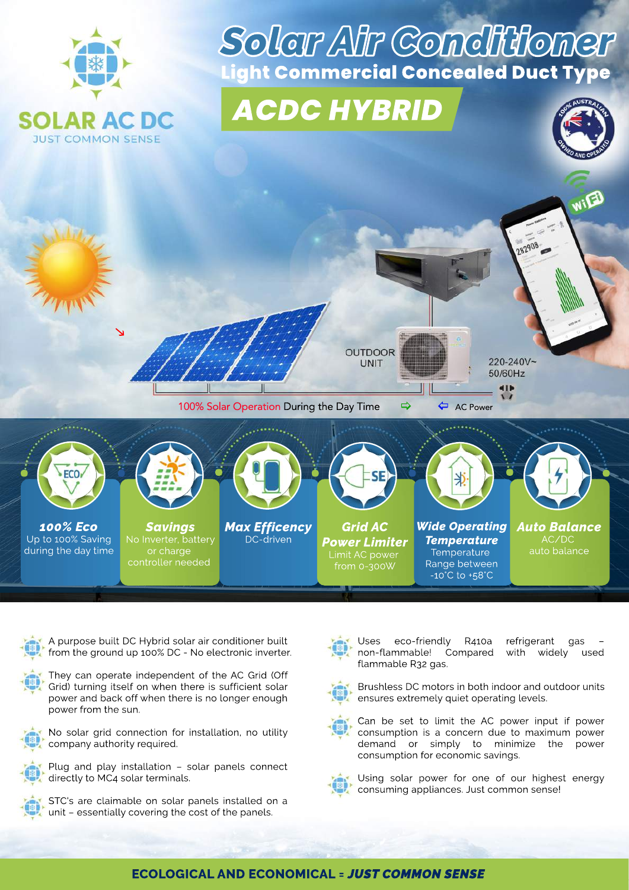

Solar Alr Conditioner





WIE



100% Solar Operation During the Day Time



A purpose built DC Hybrid solar air conditioner built from the ground up 100% DC - No electronic inverter.

They can operate independent of the AC Grid (Off Grid) turning itself on when there is sufficient solar power and back off when there is no longer enough power from the sun.



No solar grid connection for installation, no utility company authority required.



Plug and play installation - solar panels connect directly to MC4 solar terminals.

STC's are claimable on solar panels installed on a unit - essentially covering the cost of the panels.

Uses eco-friendly R410a refrigerant gas non-flammable! Compared with widely used flammable R32 gas.



Brushless DC motors in both indoor and outdoor units ensures extremely quiet operating levels.

Can be set to limit the AC power input if power consumption is a concern due to maximum power demand or simply to minimize the power consumption for economic savings.



Using solar power for one of our highest energy consuming appliances. Just common sense!

#### **ECOLOGICAL AND ECONOMICAL = JUST COMMON SENSE**